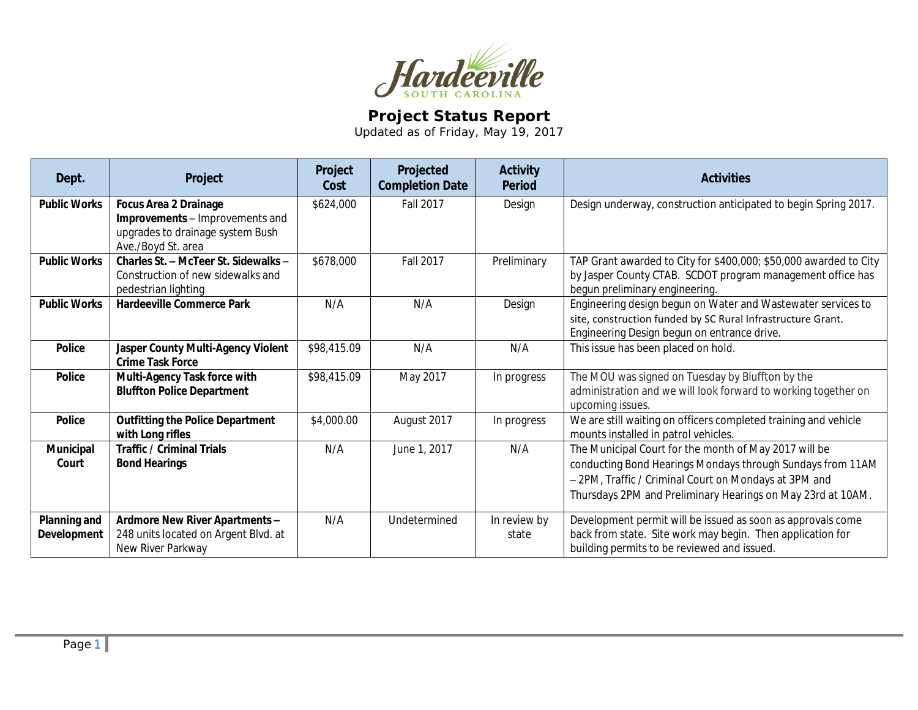

## **Project Status Report**

Updated as of Friday, May 19, 2017

| Dept.                              | Project                                                                                                                   | Project<br>Cost | Projected<br><b>Completion Date</b> | <b>Activity</b><br><b>Period</b> | <b>Activities</b>                                                                                                                                                                                                                           |
|------------------------------------|---------------------------------------------------------------------------------------------------------------------------|-----------------|-------------------------------------|----------------------------------|---------------------------------------------------------------------------------------------------------------------------------------------------------------------------------------------------------------------------------------------|
| <b>Public Works</b>                | <b>Focus Area 2 Drainage</b><br>Improvements - Improvements and<br>upgrades to drainage system Bush<br>Ave./Boyd St. area | \$624,000       | <b>Fall 2017</b>                    | Design                           | Design underway, construction anticipated to begin Spring 2017.                                                                                                                                                                             |
| <b>Public Works</b>                | Charles St. - McTeer St. Sidewalks -<br>Construction of new sidewalks and<br>pedestrian lighting                          | \$678,000       | <b>Fall 2017</b>                    | Preliminary                      | TAP Grant awarded to City for \$400,000; \$50,000 awarded to City<br>by Jasper County CTAB. SCDOT program management office has<br>begun preliminary engineering.                                                                           |
| <b>Public Works</b>                | <b>Hardeeville Commerce Park</b>                                                                                          | N/A             | N/A                                 | Design                           | Engineering design begun on Water and Wastewater services to<br>site, construction funded by SC Rural Infrastructure Grant.<br>Engineering Design begun on entrance drive.                                                                  |
| <b>Police</b>                      | Jasper County Multi-Agency Violent<br><b>Crime Task Force</b>                                                             | \$98,415.09     | N/A                                 | N/A                              | This issue has been placed on hold.                                                                                                                                                                                                         |
| <b>Police</b>                      | Multi-Agency Task force with<br><b>Bluffton Police Department</b>                                                         | \$98,415.09     | May 2017                            | In progress                      | The MOU was signed on Tuesday by Bluffton by the<br>administration and we will look forward to working together on<br>upcoming issues.                                                                                                      |
| <b>Police</b>                      | <b>Outfitting the Police Department</b><br>with Long rifles                                                               | \$4,000.00      | August 2017                         | In progress                      | We are still waiting on officers completed training and vehicle<br>mounts installed in patrol vehicles.                                                                                                                                     |
| <b>Municipal</b><br>Court          | <b>Traffic / Criminal Trials</b><br><b>Bond Hearings</b>                                                                  | N/A             | June 1, 2017                        | N/A                              | The Municipal Court for the month of May 2017 will be<br>conducting Bond Hearings Mondays through Sundays from 11AM<br>- 2PM, Traffic / Criminal Court on Mondays at 3PM and<br>Thursdays 2PM and Preliminary Hearings on May 23rd at 10AM. |
| Planning and<br><b>Development</b> | Ardmore New River Apartments -<br>248 units located on Argent Blvd. at<br>New River Parkway                               | N/A             | Undetermined                        | In review by<br>state            | Development permit will be issued as soon as approvals come<br>back from state. Site work may begin. Then application for<br>building permits to be reviewed and issued.                                                                    |